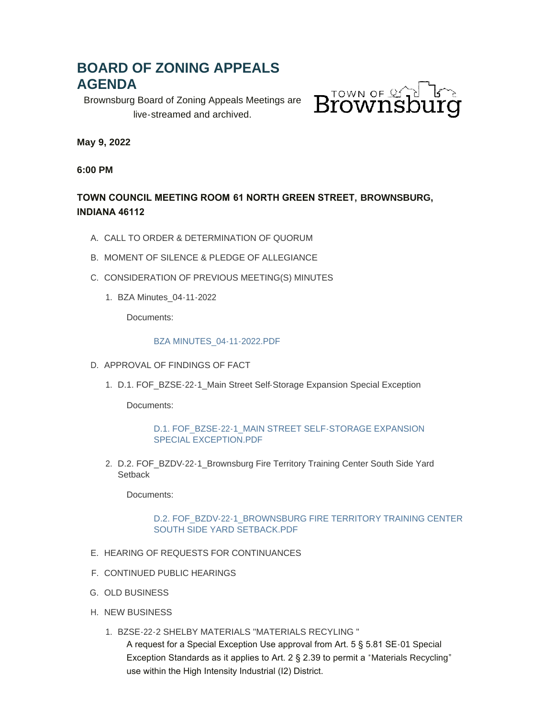# **BOARD OF ZONING APPEALS AGENDA**

Brownsburg Board of Zoning Appeals Meetings are live-streamed and archived.



**May 9, 2022**

**6:00 PM**

## **TOWN COUNCIL MEETING ROOM 61 NORTH GREEN STREET, BROWNSBURG, INDIANA 46112**

- CALL TO ORDER & DETERMINATION OF QUORUM A.
- B. MOMENT OF SILENCE & PLEDGE OF ALLEGIANCE
- C. CONSIDERATION OF PREVIOUS MEETING(S) MINUTES
	- BZA Minutes\_04-11-2022 1.

Documents:

#### [BZA MINUTES\\_04-11-2022.PDF](https://www.brownsburg.org/AgendaCenter/ViewFile/Item/299?fileID=4426)

- D. APPROVAL OF FINDINGS OF FACT
	- D.1. FOF\_BZSE-22-1\_Main Street Self-Storage Expansion Special Exception 1.

Documents:

#### [D.1. FOF\\_BZSE-22-1\\_MAIN STREET SELF-STORAGE EXPANSION](https://www.brownsburg.org/AgendaCenter/ViewFile/Item/300?fileID=4425)  SPECIAL EXCEPTION.PDF

2. D.2. FOF\_BZDV-22-1\_Brownsburg Fire Territory Training Center South Side Yard **Setback** 

Documents:

### D.2. FOF\_BZDV-22-1\_BROWNSBURG FIRE TERRITORY TRAINING CENTER SOUTH SIDE YARD SETBACK.PDF

- E. HEARING OF REQUESTS FOR CONTINUANCES
- F. CONTINUED PUBLIC HEARINGS
- G. OLD BUSINESS
- H. NEW BUSINESS
	- BZSE-22-2 SHELBY MATERIALS "MATERIALS RECYLING " 1.

A request for a Special Exception Use approval from Art. 5 § 5.81 SE-01 Special Exception Standards as it applies to Art. 2 § 2.39 to permit a "Materials Recycling" use within the High Intensity Industrial (I2) District.